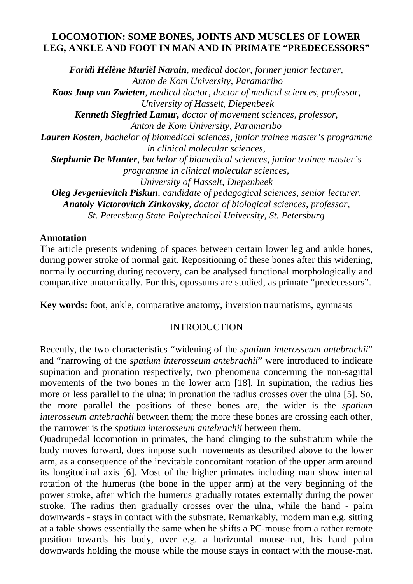### **LOCOMOTION: SOME BONES, JOINTS AND MUSCLES OF LOWER LEG, ANKLE AND FOOT IN MAN AND IN PRIMATE "PREDECESSORS"**

*Faridi Hélène Muriël Narain, medical doctor, former junior lecturer, Anton de Kom University, Paramaribo Koos Jaap van Zwieten, medical doctor, doctor of medical sciences, professor, University of Hasselt, Diepenbeek Kenneth Siegfried Lamur, doctor of movement sciences, professor, Anton de Kom University, Paramaribo Lauren Kosten, bachelor of biomedical sciences, junior trainee master's programme in clinical molecular sciences, Stephanie De Munter, bachelor of biomedical sciences, junior trainee master's programme in clinical molecular sciences, University of Hasselt, Diepenbeek Oleg Jevgenievitch Piskun, candidate of pedagogical sciences, senior lecturer, Anatoly Victorovitch Zinkovsky, doctor of biological sciences, professor, St. Petersburg State Polytechnical University, St. Petersburg*

### **Annotation**

The article presents widening of spaces between certain lower leg and ankle bones, during power stroke of normal gait. Repositioning of these bones after this widening, normally occurring during recovery, can be analysed functional morphologically and comparative anatomically. For this, opossums are studied, as primate "predecessors".

**Key words:** foot, ankle, comparative anatomy, inversion traumatisms, gymnasts

# INTRODUCTION

Recently, the two characteristics "widening of the *spatium interosseum antebrachii*" and "narrowing of the *spatium interosseum antebrachii*" were introduced to indicate supination and pronation respectively, two phenomena concerning the non-sagittal movements of the two bones in the lower arm [18]. In supination, the radius lies more or less parallel to the ulna; in pronation the radius crosses over the ulna [5]. So, the more parallel the positions of these bones are, the wider is the *spatium interosseum antebrachii* between them; the more these bones are crossing each other, the narrower is the *spatium interosseum antebrachii* between them.

Quadrupedal locomotion in primates, the hand clinging to the substratum while the body moves forward, does impose such movements as described above to the lower arm, as a consequence of the inevitable concomitant rotation of the upper arm around its longitudinal axis [6]. Most of the higher primates including man show internal rotation of the humerus (the bone in the upper arm) at the very beginning of the power stroke, after which the humerus gradually rotates externally during the power stroke. The radius then gradually crosses over the ulna, while the hand - palm downwards - stays in contact with the substrate. Remarkably, modern man e.g. sitting at a table shows essentially the same when he shifts a PC-mouse from a rather remote position towards his body, over e.g. a horizontal mouse-mat, his hand palm downwards holding the mouse while the mouse stays in contact with the mouse-mat.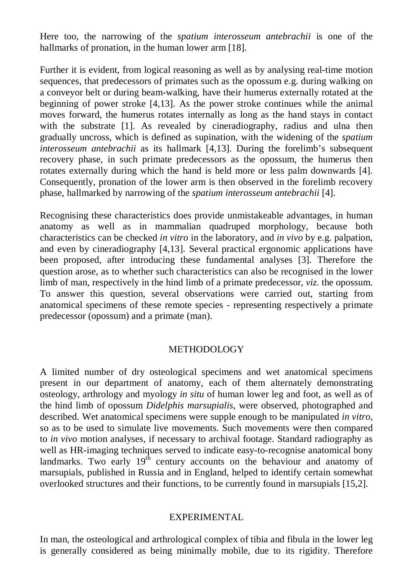Here too, the narrowing of the *spatium interosseum antebrachii* is one of the hallmarks of pronation, in the human lower arm [18].

Further it is evident, from logical reasoning as well as by analysing real-time motion sequences, that predecessors of primates such as the opossum e.g. during walking on a conveyor belt or during beam-walking, have their humerus externally rotated at the beginning of power stroke [4,13]. As the power stroke continues while the animal moves forward, the humerus rotates internally as long as the hand stays in contact with the substrate [1]. As revealed by cineradiography, radius and ulna then gradually uncross, which is defined as supination, with the widening of the *spatium interosseum antebrachii* as its hallmark [4,13]. During the forelimb's subsequent recovery phase, in such primate predecessors as the opossum, the humerus then rotates externally during which the hand is held more or less palm downwards [4]. Consequently, pronation of the lower arm is then observed in the forelimb recovery phase, hallmarked by narrowing of the *spatium interosseum antebrachii* [4].

Recognising these characteristics does provide unmistakeable advantages, in human anatomy as well as in mammalian quadruped morphology, because both characteristics can be checked *in vitro* in the laboratory, and *in vivo* by e.g. palpation, and even by cineradiography [4,13]. Several practical ergonomic applications have been proposed, after introducing these fundamental analyses [3]. Therefore the question arose, as to whether such characteristics can also be recognised in the lower limb of man, respectively in the hind limb of a primate predecessor, *viz.* the opossum. To answer this question, several observations were carried out, starting from anatomical specimens of these remote species - representing respectively a primate predecessor (opossum) and a primate (man).

# МЕТHODOLOGY

A limited number of dry osteological specimens and wet anatomical specimens present in our department of anatomy, each of them alternately demonstrating osteology, arthrology and myology *in situ* of human lower leg and foot, as well as of the hind limb of opossum *Didelphis marsupialis*, were observed, photographed and described. Wet anatomical specimens were supple enough to be manipulated *in vitro*, so as to be used to simulate live movements*.* Such movements were then compared to *in vivo* motion analyses, if necessary to archival footage. Standard radiography as well as HR-imaging techniques served to indicate easy-to-recognise anatomical bony landmarks. Two early  $19<sup>th</sup>$  century accounts on the behaviour and anatomy of marsupials, published in Russia and in England, helped to identify certain somewhat overlooked structures and their functions, to be currently found in marsupials [15,2].

### EXPERIMENTAL

In man, the osteological and arthrological complex of tibia and fibula in the lower leg is generally considered as being minimally mobile, due to its rigidity. Therefore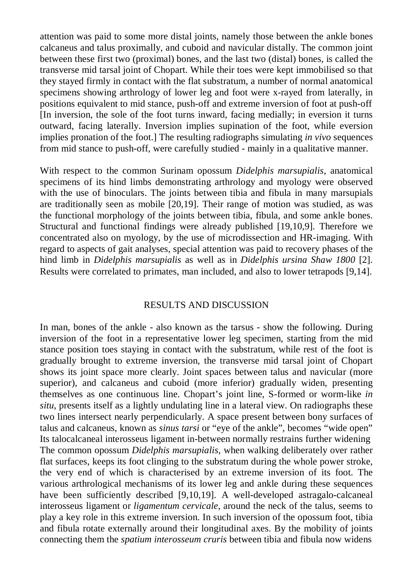attention was paid to some more distal joints, namely those between the ankle bones calcaneus and talus proximally, and cuboid and navicular distally. The common joint between these first two (proximal) bones, and the last two (distal) bones, is called the transverse mid tarsal joint of Chopart. While their toes were kept immobilised so that they stayed firmly in contact with the flat substratum, a number of normal anatomical specimens showing arthrology of lower leg and foot were x-rayed from laterally, in positions equivalent to mid stance, push-off and extreme inversion of foot at push-off [In inversion, the sole of the foot turns inward, facing medially; in eversion it turns outward, facing laterally. Inversion implies supination of the foot, while eversion implies pronation of the foot.] The resulting radiographs simulating *in vivo* sequences from mid stance to push-off, were carefully studied - mainly in a qualitative manner.

With respect to the common Surinam opossum *Didelphis marsupialis*, anatomical specimens of its hind limbs demonstrating arthrology and myology were observed with the use of binoculars. The joints between tibia and fibula in many marsupials are traditionally seen as mobile [20,19]. Their range of motion was studied, as was the functional morphology of the joints between tibia, fibula, and some ankle bones. Structural and functional findings were already published [19,10,9]. Therefore we concentrated also on myology, by the use of microdissection and HR-imaging. With regard to aspects of gait analyses, special attention was paid to recovery phases of the hind limb in *Didelphis marsupialis* as well as in *Didelphis ursina Shaw 1800* [2]. Results were correlated to primates, man included, and also to lower tetrapods [9,14].

#### RESULTS AND DISCUSSION

In man, bones of the ankle - also known as the tarsus - show the following. During inversion of the foot in a representative lower leg specimen, starting from the mid stance position toes staying in contact with the substratum, while rest of the foot is gradually brought to extreme inversion, the transverse mid tarsal joint of Chopart shows its joint space more clearly. Joint spaces between talus and navicular (more superior), and calcaneus and cuboid (more inferior) gradually widen, presenting themselves as one continuous line. Chopart's joint line, S-formed or worm-like *in situ*, presents itself as a lightly undulating line in a lateral view. On radiographs these two lines intersect nearly perpendicularly. A space present between bony surfaces of talus and calcaneus, known as *sinus tarsi* or "eye of the ankle", becomes "wide open" Its talocalcaneal interosseus ligament in-between normally restrains further widening The common opossum *Didelphis marsupialis*, when walking deliberately over rather flat surfaces, keeps its foot clinging to the substratum during the whole power stroke, the very end of which is characterised by an extreme inversion of its foot. The various arthrological mechanisms of its lower leg and ankle during these sequences have been sufficiently described [9,10,19]. A well-developed astragalo-calcaneal interosseus ligament or *ligamentum cervicale*, around the neck of the talus, seems to play a key role in this extreme inversion. In such inversion of the opossum foot, tibia and fibula rotate externally around their longitudinal axes. By the mobility of joints connecting them the *spatium interosseum cruris* between tibia and fibula now widens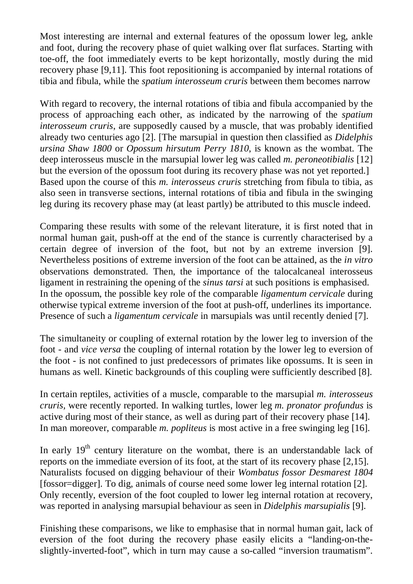Most interesting are internal and external features of the opossum lower leg, ankle and foot, during the recovery phase of quiet walking over flat surfaces. Starting with toe-off, the foot immediately everts to be kept horizontally, mostly during the mid recovery phase [9,11]. This foot repositioning is accompanied by internal rotations of tibia and fibula, while the *spatium interosseum cruris* between them becomes narrow

With regard to recovery, the internal rotations of tibia and fibula accompanied by the process of approaching each other, as indicated by the narrowing of the *spatium interosseum cruris*, are supposedly caused by a muscle, that was probably identified already two centuries ago [2]. [The marsupial in question then classified as *Didelphis ursina Shaw 1800* or *Opossum hirsutum Perry 1810*, is known as the wombat. The deep interosseus muscle in the marsupial lower leg was called *m. peroneotibialis* [12] but the eversion of the opossum foot during its recovery phase was not yet reported.] Based upon the course of this *m. interosseus cruris* stretching from fibula to tibia, as also seen in transverse sections, internal rotations of tibia and fibula in the swinging leg during its recovery phase may (at least partly) be attributed to this muscle indeed.

Comparing these results with some of the relevant literature, it is first noted that in normal human gait, push-off at the end of the stance is currently characterised by a certain degree of inversion of the foot, but not by an extreme inversion [9]. Nevertheless positions of extreme inversion of the foot can be attained, as the *in vitro* observations demonstrated. Then, the importance of the talocalcaneal interosseus ligament in restraining the opening of the *sinus tarsi* at such positions is emphasised. In the opossum, the possible key role of the comparable *ligamentum cervicale* during otherwise typical extreme inversion of the foot at push-off, underlines its importance. Presence of such a *ligamentum cervicale* in marsupials was until recently denied [7].

The simultaneity or coupling of external rotation by the lower leg to inversion of the foot - and *vice versa* the coupling of internal rotation by the lower leg to eversion of the foot - is not confined to just predecessors of primates like opossums. It is seen in humans as well. Kinetic backgrounds of this coupling were sufficiently described [8].

In certain reptiles, activities of a muscle, comparable to the marsupial *m. interosseus cruris,* were recently reported. In walking turtles, lower leg *m. pronator profundus* is active during most of their stance, as well as during part of their recovery phase [14]. In man moreover, comparable *m. popliteus* is most active in a free swinging leg [16].

In early 19<sup>th</sup> century literature on the wombat, there is an understandable lack of reports on the immediate eversion of its foot, at the start of its recovery phase [2,15]. Naturalists focused on digging behaviour of their *Wombatus fossor Desmarest 1804* [fossor=digger]. To dig, animals of course need some lower leg internal rotation [2]. Only recently, eversion of the foot coupled to lower leg internal rotation at recovery, was reported in analysing marsupial behaviour as seen in *Didelphis marsupialis* [9].

Finishing these comparisons, we like to emphasise that in normal human gait, lack of eversion of the foot during the recovery phase easily elicits a "landing-on-theslightly-inverted-foot", which in turn may cause a so-called "inversion traumatism".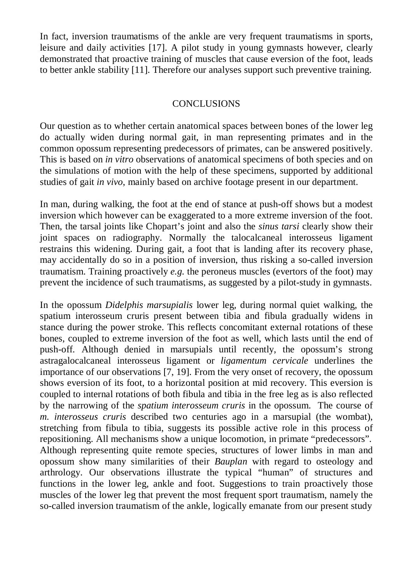In fact, inversion traumatisms of the ankle are very frequent traumatisms in sports, leisure and daily activities [17]. A pilot study in young gymnasts however, clearly demonstrated that proactive training of muscles that cause eversion of the foot, leads to better ankle stability [11]. Therefore our analyses support such preventive training.

## **CONCLUSIONS**

Our question as to whether certain anatomical spaces between bones of the lower leg do actually widen during normal gait, in man representing primates and in the common opossum representing predecessors of primates, can be answered positively. This is based on *in vitro* observations of anatomical specimens of both species and on the simulations of motion with the help of these specimens, supported by additional studies of gait *in vivo*, mainly based on archive footage present in our department.

In man, during walking, the foot at the end of stance at push-off shows but a modest inversion which however can be exaggerated to a more extreme inversion of the foot. Then, the tarsal joints like Chopart's joint and also the *sinus tarsi* clearly show their joint spaces on radiography. Normally the talocalcaneal interosseus ligament restrains this widening. During gait, a foot that is landing after its recovery phase, may accidentally do so in a position of inversion, thus risking a so-called inversion traumatism. Training proactively *e.g.* the peroneus muscles (evertors of the foot) may prevent the incidence of such traumatisms, as suggested by a pilot-study in gymnasts.

In the opossum *Didelphis marsupialis* lower leg*,* during normal quiet walking, the spatium interosseum cruris present between tibia and fibula gradually widens in stance during the power stroke. This reflects concomitant external rotations of these bones, coupled to extreme inversion of the foot as well, which lasts until the end of push-off. Although denied in marsupials until recently, the opossum's strong astragalocalcaneal interosseus ligament or *ligamentum cervicale* underlines the importance of our observations [7, 19]. From the very onset of recovery, the opossum shows eversion of its foot, to a horizontal position at mid recovery. This eversion is coupled to internal rotations of both fibula and tibia in the free leg as is also reflected by the narrowing of the *spatium interosseum cruris* in the opossum. The course of *m. interosseus cruris* described two centuries ago in a marsupial (the wombat), stretching from fibula to tibia, suggests its possible active role in this process of repositioning. All mechanisms show a unique locomotion, in primate "predecessors". Although representing quite remote species, structures of lower limbs in man and opossum show many similarities of their *Bauplan* with regard to osteology and arthrology. Our observations illustrate the typical "human" of structures and functions in the lower leg, ankle and foot. Suggestions to train proactively those muscles of the lower leg that prevent the most frequent sport traumatism, namely the so-called inversion traumatism of the ankle, logically emanate from our present study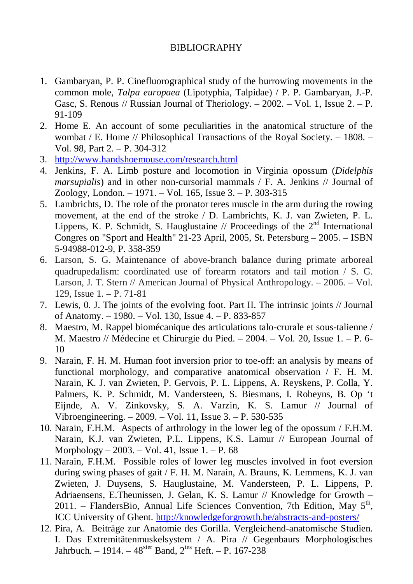### BIBLIOGRAPHY

- 1. Gambaryan, P. P. Cinefluorographical study of the burrowing movements in the common mole, *Talpa europaea* (Lipotyphia, Talpidae) / P. P. Gambaryan, J.-P. Gasc, S. Renous // Russian Journal of Theriology.  $-2002$ .  $-$  Vol. 1, Issue 2.  $-$  P. 91-109
- 2. Home E. An account of some peculiarities in the anatomical structure of the wombat / E. Home // Philosophical Transactions of the Royal Society. – 1808. – Vol. 98, Part 2. – P. 304-312
- 3. http://www.handshoemouse.com/research.html
- 4. Jenkins, F. A. Limb posture and locomotion in Virginia opossum (*Didelphis marsupialis*) and in other non-cursorial mammals / F. A. Jenkins // Journal of Zoology, London. – 1971. – Vol. 165, Issue 3. – P. 303-315
- 5. Lambrichts, D. The role of the pronator teres muscle in the arm during the rowing movement, at the end of the stroke / D. Lambrichts, K. J. van Zwieten, P. L. Lippens, K. P. Schmidt, S. Hauglustaine // Proceedings of the  $2<sup>nd</sup>$  International Congres on "Sport and Health" 21-23 April, 2005, St. Petersburg – 2005. – ISBN 5-94988-012-9, P. 358-359
- 6. Larson, S. G. Maintenance of above-branch balance during primate arboreal quadrupedalism: coordinated use of forearm rotators and tail motion / S. G. Larson, J. T. Stern // American Journal of Physical Anthropology. – 2006. – Vol. 129, Issue 1. – P. 71-81
- 7. Lewis, 0. J. The joints of the evolving foot. Part II. The intrinsic joints // Journal of Anatomy. – 1980. – Vol. 130, Issue 4. – P. 833-857
- 8. Maestro, M. Rappel biomécanique des articulations talo-crurale et sous-talienne / M. Maestro // Médecine et Chirurgie du Pied. – 2004. – Vol. 20, Issue 1. – P. 6- 10
- 9. Narain, F. H. M. Human foot inversion prior to toe-off: an analysis by means of functional morphology, and comparative anatomical observation / F. H. M. Narain, K. J. van Zwieten, P. Gervois, P. L. Lippens, A. Reyskens, P. Colla, Y. Palmers, K. P. Schmidt, M. Vandersteen, S. Biesmans, I. Robeyns, B. Op 't Eijnde, A. V. Zinkovsky, S. A. Varzin, K. S. Lamur // Journal of Vibroengineering. – 2009. – Vol. 11, Issue 3. – P. 530-535
- 10. Narain, F.H.M. Aspects of arthrology in the lower leg of the opossum / F.H.M. Narain, K.J. van Zwieten, P.L. Lippens, K.S. Lamur // European Journal of Morphology – 2003. – Vol. 41, Issue 1. – P. 68
- 11. Narain, F.H.M. Possible roles of lower leg muscles involved in foot eversion during swing phases of gait / F. H. M. Narain, A. Brauns, K. Lemmens, K. J. van Zwieten, J. Duysens, S. Hauglustaine, M. Vandersteen, P. L. Lippens, P. Adriaensens, E.Theunissen, J. Gelan, K. S. Lamur // Knowledge for Growth – 2011. – FlandersBio, Annual Life Sciences Convention, 7th Edition, May  $5<sup>th</sup>$ , ICC University of Ghent. http://knowledgeforgrowth.be/abstracts-and-posters/
- 12. Pira, A. Beiträge zur Anatomie des Gorilla. Vergleichend-anatomische Studien. I. Das Extremitätenmuskelsystem / A. Pira // Gegenbaurs Morphologisches Jahrbuch. – 1914. –  $48^{\text{ster}}$  Band,  $2^{\text{tes}}$  Heft. – P. 167-238